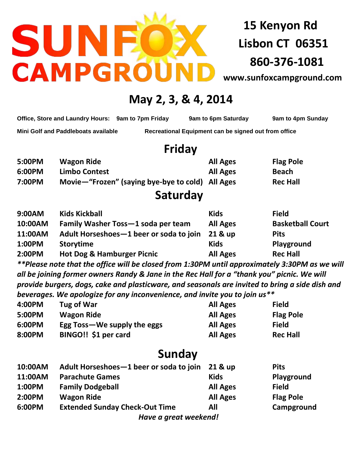# SUN CAMPGRO

**15 Kenyon Rd Lisbon CT 06351 860-376-1081**

**[www.sunfoxcampground.com](http://www.sunfoxcampground.com/)**

## **May 2, 3, & 4, 2014**

**Office, Store and Laundry Hours: 9am to 7pm Friday 9am to 6pm Saturday 9am to 4pm Sunday**

**Mini Golf and Paddleboats available Recreational Equipment can be signed out from office**

# **Friday**

| 5:00PM | <b>Wagon Ride</b>                                | <b>All Ages</b> | <b>Flag Pole</b> |
|--------|--------------------------------------------------|-----------------|------------------|
| 6:00PM | <b>Limbo Contest</b>                             | <b>All Ages</b> | <b>Beach</b>     |
| 7:00PM | Movie-"Frozen" (saying bye-bye to cold) All Ages |                 | <b>Rec Hall</b>  |

### **Saturday**

| 9:00AM  | <b>Kids Kickball</b>                    | <b>Kids</b>     | <b>Field</b>            |
|---------|-----------------------------------------|-----------------|-------------------------|
| 10:00AM | Family Washer Toss-1 soda per team      | <b>All Ages</b> | <b>Basketball Court</b> |
| 11:00AM | Adult Horseshoes-1 beer or soda to join | 21 & up         | <b>Pits</b>             |
| 1:00PM  | <b>Storytime</b>                        | <b>Kids</b>     | Playground              |
| 2:00PM  | <b>Hot Dog &amp; Hamburger Picnic</b>   | <b>All Ages</b> | <b>Rec Hall</b>         |

*\*\*Please note that the office will be closed from 1:30PM until approximately 3:30PM as we will all be joining former owners Randy & Jane in the Rec Hall for a "thank you" picnic. We will provide burgers, dogs, cake and plasticware, and seasonals are invited to bring a side dish and beverages. We apologize for any inconvenience, and invite you to join us\*\**

| 4:00PM | Tug of War                  | <b>All Ages</b> | <b>Field</b>     |
|--------|-----------------------------|-----------------|------------------|
| 5:00PM | <b>Wagon Ride</b>           | <b>All Ages</b> | <b>Flag Pole</b> |
| 6:00PM | Egg Toss—We supply the eggs | <b>All Ages</b> | <b>Field</b>     |
| 8:00PM | BINGO!! \$1 per card        | <b>All Ages</b> | <b>Rec Hall</b>  |

# **Sunday**

| 10:00AM | Adult Horseshoes-1 beer or soda to join | 21 & up         | <b>Pits</b>      |
|---------|-----------------------------------------|-----------------|------------------|
| 11:00AM | <b>Parachute Games</b>                  | <b>Kids</b>     | Playground       |
| 1:00PM  | <b>Family Dodgeball</b>                 | <b>All Ages</b> | <b>Field</b>     |
| 2:00PM  | <b>Wagon Ride</b>                       | <b>All Ages</b> | <b>Flag Pole</b> |
| 6:00PM  | <b>Extended Sunday Check-Out Time</b>   | All             | Campground       |
|         | Have a great weekend!                   |                 |                  |